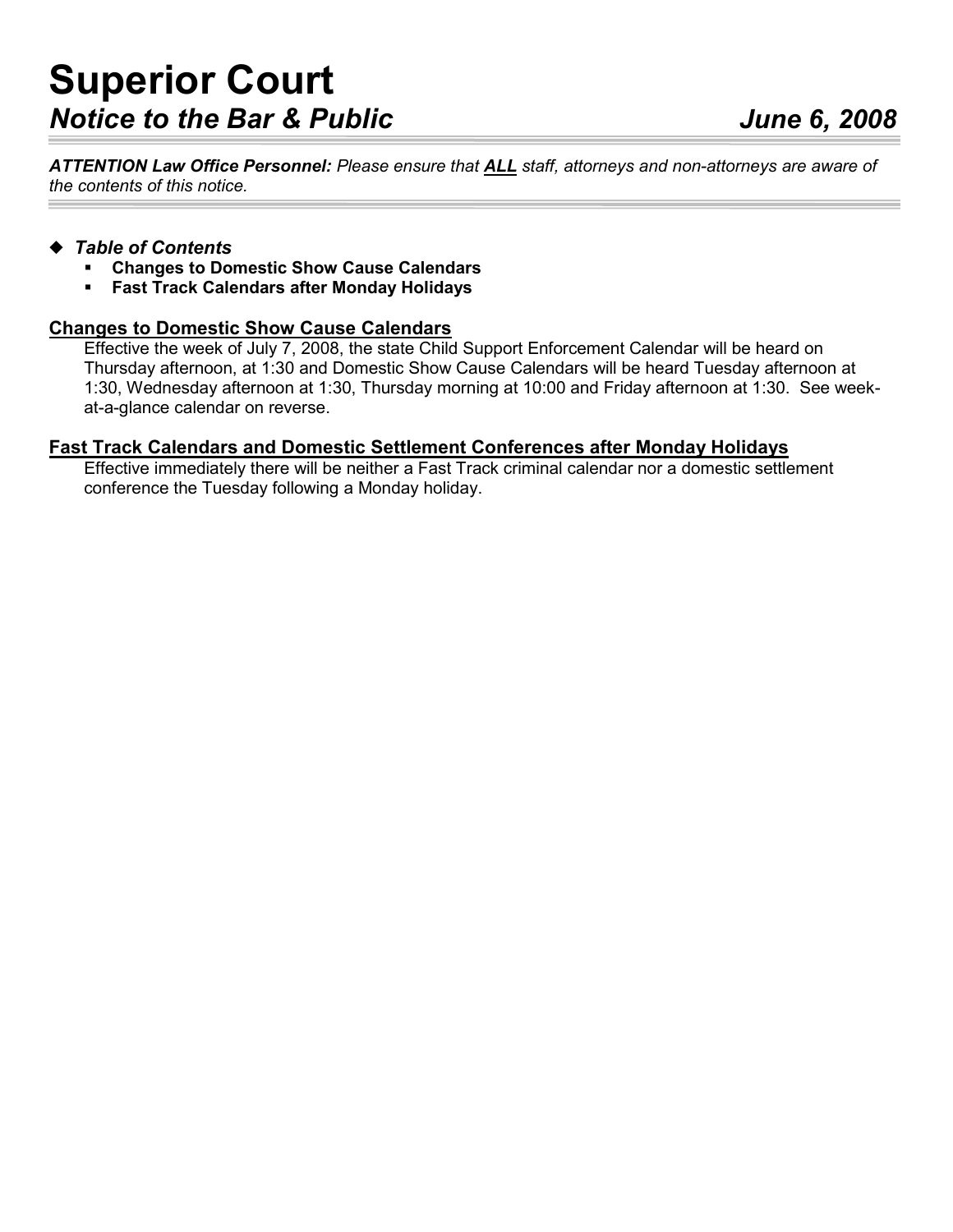ATTENTION Law Office Personnel: Please ensure that ALL staff, attorneys and non-attorneys are aware of the contents of this notice.

## ◆ Table of Contents

- Changes to Domestic Show Cause Calendars
- Fast Track Calendars after Monday Holidays

## Changes to Domestic Show Cause Calendars

Effective the week of July 7, 2008, the state Child Support Enforcement Calendar will be heard on Thursday afternoon, at 1:30 and Domestic Show Cause Calendars will be heard Tuesday afternoon at 1:30, Wednesday afternoon at 1:30, Thursday morning at 10:00 and Friday afternoon at 1:30. See weekat-a-glance calendar on reverse.

## Fast Track Calendars and Domestic Settlement Conferences after Monday Holidays

Effective immediately there will be neither a Fast Track criminal calendar nor a domestic settlement conference the Tuesday following a Monday holiday.